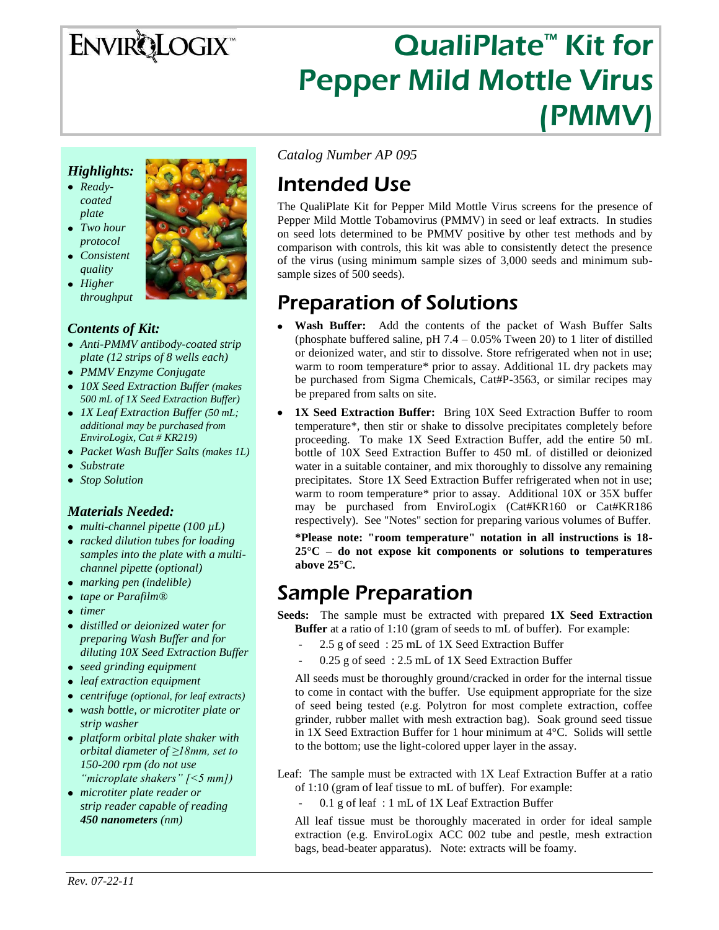# **ENVIRQLOGIX**

# QualiPlate<sup>™</sup> Kit for Pepper Mild Mottle Virus (PMMV)

#### *Highlights:*

- *Readycoated plate*
- *Two hour protocol*
- *Consistent quality*
- *Higher throughput*

#### *Contents of Kit:*

- *Anti-PMMV antibody-coated strip plate (12 strips of 8 wells each)*
- *PMMV Enzyme Conjugate*
- *10X Seed Extraction Buffer (makes 500 mL of 1X Seed Extraction Buffer)*
- *1X Leaf Extraction Buffer (50 mL; additional may be purchased from EnviroLogix, Cat # KR219)*
- *Packet Wash Buffer Salts (makes 1L)*
- *Substrate*
- *Stop Solution*

#### *Materials Needed:*

- *multi-channel pipette (100 µL)*
- *racked dilution tubes for loading samples into the plate with a multichannel pipette (optional)*
- *marking pen (indelible)*
- *tape or Parafilm®*
- *timer*
- *distilled or deionized water for preparing Wash Buffer and for diluting 10X Seed Extraction Buffer*
- *seed grinding equipment*
- *leaf extraction equipment*
- *centrifuge (optional, for leaf extracts)*
- *wash bottle, or microtiter plate or strip washer*
- *platform orbital plate shaker with orbital diameter of ≥18mm, set to 150-200 rpm (do not use "microplate shakers" [<5 mm])*
- *microtiter plate reader or strip reader capable of reading 450 nanometers (nm)*

*Catalog Number AP 095*

# Intended Use

The QualiPlate Kit for Pepper Mild Mottle Virus screens for the presence of Pepper Mild Mottle Tobamovirus (PMMV) in seed or leaf extracts. In studies on seed lots determined to be PMMV positive by other test methods and by comparison with controls, this kit was able to consistently detect the presence of the virus (using minimum sample sizes of 3,000 seeds and minimum subsample sizes of 500 seeds).

# Preparation of Solutions

- **Wash Buffer:** Add the contents of the packet of Wash Buffer Salts (phosphate buffered saline, pH  $7.4 - 0.05\%$  Tween 20) to 1 liter of distilled or deionized water, and stir to dissolve. Store refrigerated when not in use; warm to room temperature\* prior to assay. Additional 1L dry packets may be purchased from Sigma Chemicals, Cat#P-3563, or similar recipes may be prepared from salts on site.
- **1X Seed Extraction Buffer:** Bring 10X Seed Extraction Buffer to room temperature\*, then stir or shake to dissolve precipitates completely before proceeding. To make 1X Seed Extraction Buffer, add the entire 50 mL bottle of 10X Seed Extraction Buffer to 450 mL of distilled or deionized water in a suitable container, and mix thoroughly to dissolve any remaining precipitates. Store 1X Seed Extraction Buffer refrigerated when not in use; warm to room temperature\* prior to assay. Additional 10X or 35X buffer may be purchased from EnviroLogix (Cat#KR160 or Cat#KR186 respectively). See "Notes" section for preparing various volumes of Buffer.

**\*Please note: "room temperature" notation in all instructions is 18- 25°C – do not expose kit components or solutions to temperatures above 25°C.**

## Sample Preparation

**Seeds:** The sample must be extracted with prepared **1X Seed Extraction Buffer** at a ratio of 1:10 (gram of seeds to mL of buffer). For example:

- 2.5 g of seed: 25 mL of 1X Seed Extraction Buffer
- 0.25 g of seed : 2.5 mL of 1X Seed Extraction Buffer

All seeds must be thoroughly ground/cracked in order for the internal tissue to come in contact with the buffer. Use equipment appropriate for the size of seed being tested (e.g. Polytron for most complete extraction, coffee grinder, rubber mallet with mesh extraction bag). Soak ground seed tissue in 1X Seed Extraction Buffer for 1 hour minimum at 4°C. Solids will settle to the bottom; use the light-colored upper layer in the assay.

Leaf: The sample must be extracted with 1X Leaf Extraction Buffer at a ratio of 1:10 (gram of leaf tissue to mL of buffer). For example:

 $0.1$  g of leaf : 1 mL of 1X Leaf Extraction Buffer

All leaf tissue must be thoroughly macerated in order for ideal sample extraction (e.g. EnviroLogix ACC 002 tube and pestle, mesh extraction bags, bead-beater apparatus). Note: extracts will be foamy.

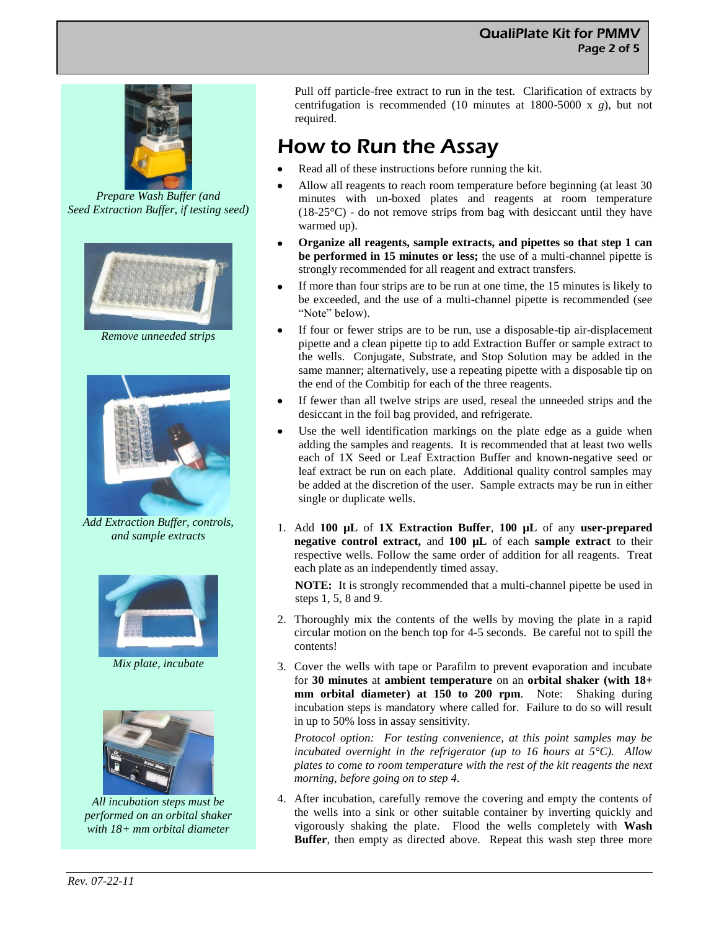#### QualiPlate Kit for PMMV Page 2 of 5



*Prepare Wash Buffer (and Seed Extraction Buffer, if testing seed)*



*Remove unneeded strips*



*Add Extraction Buffer, controls, and sample extracts*



*Mix plate, incubate*



*All incubation steps must be performed on an orbital shaker with 18+ mm orbital diameter*

Pull off particle-free extract to run in the test. Clarification of extracts by centrifugation is recommended (10 minutes at 1800-5000 x *g*), but not required.

# How to Run the Assay

- Read all of these instructions before running the kit.
- Allow all reagents to reach room temperature before beginning (at least 30 minutes with un-boxed plates and reagents at room temperature  $(18-25^{\circ}C)$  - do not remove strips from bag with desiccant until they have warmed up).
- **Organize all reagents, sample extracts, and pipettes so that step 1 can be performed in 15 minutes or less;** the use of a multi-channel pipette is strongly recommended for all reagent and extract transfers.
- If more than four strips are to be run at one time, the 15 minutes is likely to be exceeded, and the use of a multi-channel pipette is recommended (see "Note" below).
- If four or fewer strips are to be run, use a disposable-tip air-displacement pipette and a clean pipette tip to add Extraction Buffer or sample extract to the wells. Conjugate, Substrate, and Stop Solution may be added in the same manner; alternatively, use a repeating pipette with a disposable tip on the end of the Combitip for each of the three reagents.
- If fewer than all twelve strips are used, reseal the unneeded strips and the desiccant in the foil bag provided, and refrigerate.
- Use the well identification markings on the plate edge as a guide when adding the samples and reagents. It is recommended that at least two wells each of 1X Seed or Leaf Extraction Buffer and known-negative seed or leaf extract be run on each plate. Additional quality control samples may be added at the discretion of the user. Sample extracts may be run in either single or duplicate wells.
- 1. Add **100 µL** of **1X Extraction Buffer**, **100 µL** of any **user-prepared negative control extract,** and **100 µL** of each **sample extract** to their respective wells. Follow the same order of addition for all reagents. Treat each plate as an independently timed assay.

**NOTE:** It is strongly recommended that a multi-channel pipette be used in steps 1, 5, 8 and 9.

- 2. Thoroughly mix the contents of the wells by moving the plate in a rapid circular motion on the bench top for 4-5 seconds. Be careful not to spill the contents!
- 3. Cover the wells with tape or Parafilm to prevent evaporation and incubate for **30 minutes** at **ambient temperature** on an **orbital shaker (with 18+ mm orbital diameter) at 150 to 200 rpm**. Note: Shaking during incubation steps is mandatory where called for. Failure to do so will result in up to 50% loss in assay sensitivity.

*Protocol option: For testing convenience, at this point samples may be incubated overnight in the refrigerator (up to 16 hours at 5°C). Allow plates to come to room temperature with the rest of the kit reagents the next morning, before going on to step 4.*

4. After incubation, carefully remove the covering and empty the contents of the wells into a sink or other suitable container by inverting quickly and vigorously shaking the plate. Flood the wells completely with **Wash Buffer**, then empty as directed above. Repeat this wash step three more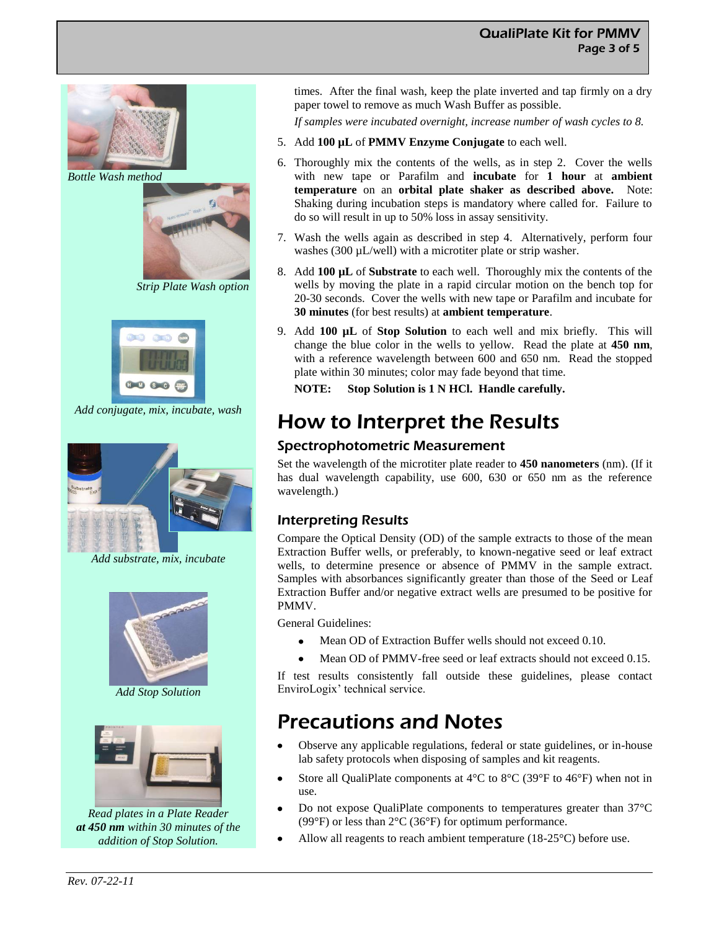

*Bottle Wash method*



*Strip Plate Wash option*



*Add conjugate, mix, incubate, wash*



*Add substrate, mix, incubate*



*Add Stop Solution*



*Read plates in a Plate Reader at 450 nm within 30 minutes of the addition of Stop Solution.*

times. After the final wash, keep the plate inverted and tap firmly on a dry paper towel to remove as much Wash Buffer as possible.

*If samples were incubated overnight, increase number of wash cycles to 8.*

- 5. Add **100 µL** of **PMMV Enzyme Conjugate** to each well.
- 6. Thoroughly mix the contents of the wells, as in step 2. Cover the wells with new tape or Parafilm and **incubate** for **1 hour** at **ambient temperature** on an **orbital plate shaker as described above.** Note: Shaking during incubation steps is mandatory where called for. Failure to do so will result in up to 50% loss in assay sensitivity.
- 7. Wash the wells again as described in step 4. Alternatively, perform four washes (300 µL/well) with a microtiter plate or strip washer.
- 8. Add **100 µL** of **Substrate** to each well. Thoroughly mix the contents of the wells by moving the plate in a rapid circular motion on the bench top for 20-30 seconds. Cover the wells with new tape or Parafilm and incubate for **30 minutes** (for best results) at **ambient temperature**.
- 9. Add **100 µL** of **Stop Solution** to each well and mix briefly. This will change the blue color in the wells to yellow. Read the plate at **450 nm**, with a reference wavelength between 600 and 650 nm. Read the stopped plate within 30 minutes; color may fade beyond that time.

**NOTE: Stop Solution is 1 N HCl. Handle carefully.**

# How to Interpret the Results

#### Spectrophotometric Measurement

Set the wavelength of the microtiter plate reader to **450 nanometers** (nm). (If it has dual wavelength capability, use 600, 630 or 650 nm as the reference wavelength.)

#### Interpreting Results

Compare the Optical Density (OD) of the sample extracts to those of the mean Extraction Buffer wells, or preferably, to known-negative seed or leaf extract wells, to determine presence or absence of PMMV in the sample extract. Samples with absorbances significantly greater than those of the Seed or Leaf Extraction Buffer and/or negative extract wells are presumed to be positive for PMMV.

General Guidelines:

- $\bullet$ Mean OD of Extraction Buffer wells should not exceed 0.10.
- Mean OD of PMMV-free seed or leaf extracts should not exceed 0.15.

If test results consistently fall outside these guidelines, please contact EnviroLogix' technical service.

# Precautions and Notes

- Observe any applicable regulations, federal or state guidelines, or in-house lab safety protocols when disposing of samples and kit reagents.
- Store all QualiPlate components at  $4^{\circ}$ C to  $8^{\circ}$ C (39 $^{\circ}$ F to  $46^{\circ}$ F) when not in use.
- Do not expose QualiPlate components to temperatures greater than 37°C (99 $\degree$ F) or less than 2 $\degree$ C (36 $\degree$ F) for optimum performance.
- Allow all reagents to reach ambient temperature (18-25°C) before use.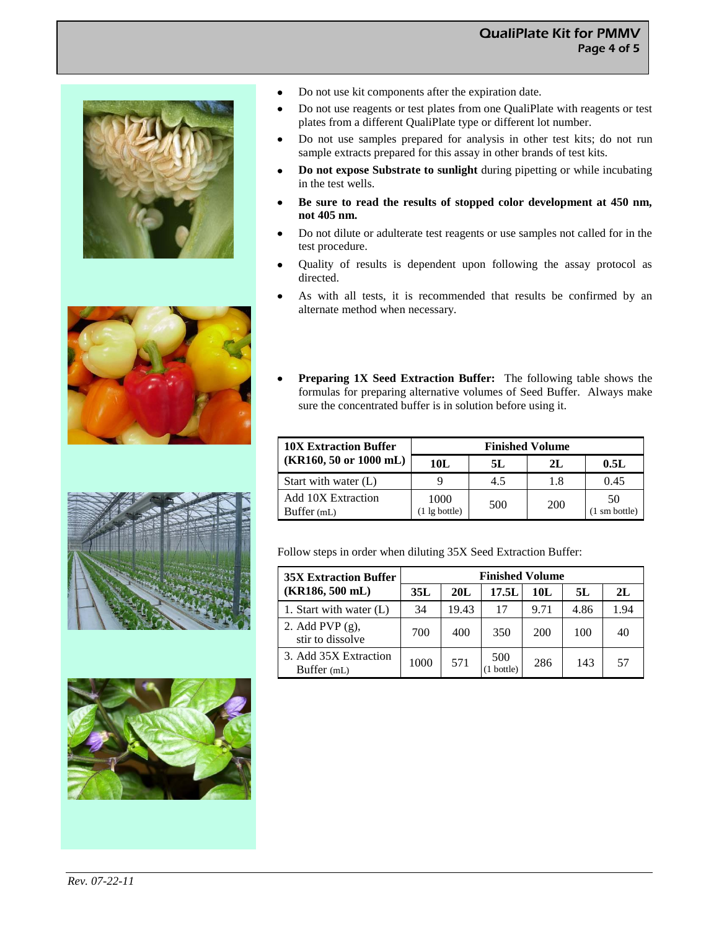









- $\bullet$ Do not use kit components after the expiration date.
- Do not use reagents or test plates from one QualiPlate with reagents or test plates from a different QualiPlate type or different lot number.
- Do not use samples prepared for analysis in other test kits; do not run sample extracts prepared for this assay in other brands of test kits.
- **Do not expose Substrate to sunlight** during pipetting or while incubating in the test wells.
- **Be sure to read the results of stopped color development at 450 nm, not 405 nm.**
- Do not dilute or adulterate test reagents or use samples not called for in the test procedure.
- Quality of results is dependent upon following the assay protocol as directed.
- As with all tests, it is recommended that results be confirmed by an alternate method when necessary.
- **Preparing 1X Seed Extraction Buffer:** The following table shows the formulas for preparing alternative volumes of Seed Buffer. Always make sure the concentrated buffer is in solution before using it.

| <b>10X Extraction Buffer</b>              | <b>Finished Volume</b>          |     |            |                               |  |  |
|-------------------------------------------|---------------------------------|-----|------------|-------------------------------|--|--|
| $(KR160, 50 \text{ or } 1000 \text{ mL})$ | 10L                             | 5L  | 2L         | 0.5L                          |  |  |
| Start with water $(L)$                    |                                 | 4.5 | 1.8        | 0.45                          |  |  |
| Add 10X Extraction<br>Buffer $(mL)$       | 1000<br>$(1 \lg \text{bottle})$ | 500 | <b>200</b> | 50<br>$(1 \text{ sm bottle})$ |  |  |

Follow steps in order when diluting 35X Seed Extraction Buffer:

| <b>35X Extraction Buffer</b>           | <b>Finished Volume</b> |       |                |      |      |      |  |
|----------------------------------------|------------------------|-------|----------------|------|------|------|--|
| $(KR186, 500$ mL)                      | 35L                    | 20L   | 17.5L          | 10L  | 5L   | 2L   |  |
| 1. Start with water (L)                | 34                     | 19.43 | 17             | 9.71 | 4.86 | 1.94 |  |
| 2. Add PVP $(g)$ ,<br>stir to dissolve | 700                    | 400   | 350            | 200  | 100  | 40   |  |
| 3. Add 35X Extraction<br>Buffer (mL)   | 1000                   | 571   | 500<br>bottle) | 286  | 143  | 57   |  |